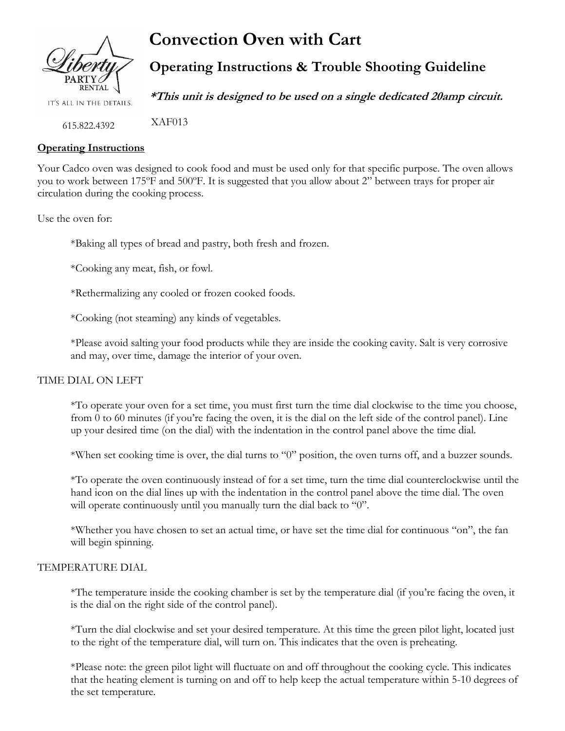

IT'S ALL IN THE DETAILS.

**Convection Oven with Cart**

**Operating Instructions & Trouble Shooting Guideline**

**\*This unit is designed to be used on a single dedicated 20amp circuit.**

 XAF013 615.822.4392

# **Operating Instructions**

Your Cadco oven was designed to cook food and must be used only for that specific purpose. The oven allows you to work between 175ºF and 500ºF. It is suggested that you allow about 2" between trays for proper air circulation during the cooking process.

Use the oven for:

\*Baking all types of bread and pastry, both fresh and frozen.

\*Cooking any meat, fish, or fowl.

\*Rethermalizing any cooled or frozen cooked foods.

\*Cooking (not steaming) any kinds of vegetables.

\*Please avoid salting your food products while they are inside the cooking cavity. Salt is very corrosive and may, over time, damage the interior of your oven.

## TIME DIAL ON LEFT

\*To operate your oven for a set time, you must first turn the time dial clockwise to the time you choose, from 0 to 60 minutes (if you're facing the oven, it is the dial on the left side of the control panel). Line up your desired time (on the dial) with the indentation in the control panel above the time dial.

\*When set cooking time is over, the dial turns to "0" position, the oven turns off, and a buzzer sounds.

\*To operate the oven continuously instead of for a set time, turn the time dial counterclockwise until the hand icon on the dial lines up with the indentation in the control panel above the time dial. The oven will operate continuously until you manually turn the dial back to "0".

\*Whether you have chosen to set an actual time, or have set the time dial for continuous "on", the fan will begin spinning.

#### TEMPERATURE DIAL

\*The temperature inside the cooking chamber is set by the temperature dial (if you're facing the oven, it is the dial on the right side of the control panel).

\*Turn the dial clockwise and set your desired temperature. At this time the green pilot light, located just to the right of the temperature dial, will turn on. This indicates that the oven is preheating.

\*Please note: the green pilot light will fluctuate on and off throughout the cooking cycle. This indicates that the heating element is turning on and off to help keep the actual temperature within 5-10 degrees of the set temperature.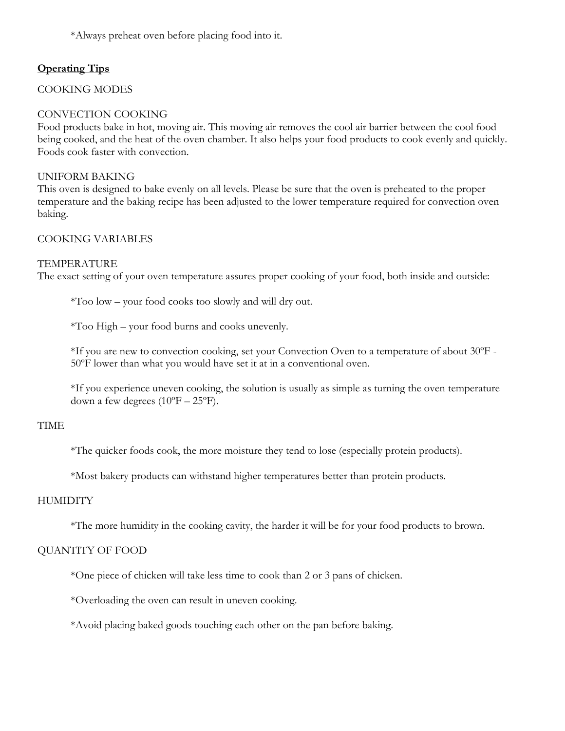\*Always preheat oven before placing food into it.

# **Operating Tips**

COOKING MODES

## CONVECTION COOKING

Food products bake in hot, moving air. This moving air removes the cool air barrier between the cool food being cooked, and the heat of the oven chamber. It also helps your food products to cook evenly and quickly. Foods cook faster with convection.

### UNIFORM BAKING

This oven is designed to bake evenly on all levels. Please be sure that the oven is preheated to the proper temperature and the baking recipe has been adjusted to the lower temperature required for convection oven baking.

## COOKING VARIABLES

### TEMPERATURE

The exact setting of your oven temperature assures proper cooking of your food, both inside and outside:

\*Too low – your food cooks too slowly and will dry out.

\*Too High – your food burns and cooks unevenly.

\*If you are new to convection cooking, set your Convection Oven to a temperature of about 30ºF - 50ºF lower than what you would have set it at in a conventional oven.

\*If you experience uneven cooking, the solution is usually as simple as turning the oven temperature down a few degrees  $(10^{\circ}F - 25^{\circ}F)$ .

## TIME

\*The quicker foods cook, the more moisture they tend to lose (especially protein products).

\*Most bakery products can withstand higher temperatures better than protein products.

## **HUMIDITY**

\*The more humidity in the cooking cavity, the harder it will be for your food products to brown.

## QUANTITY OF FOOD

\*One piece of chicken will take less time to cook than 2 or 3 pans of chicken.

\*Overloading the oven can result in uneven cooking.

\*Avoid placing baked goods touching each other on the pan before baking.